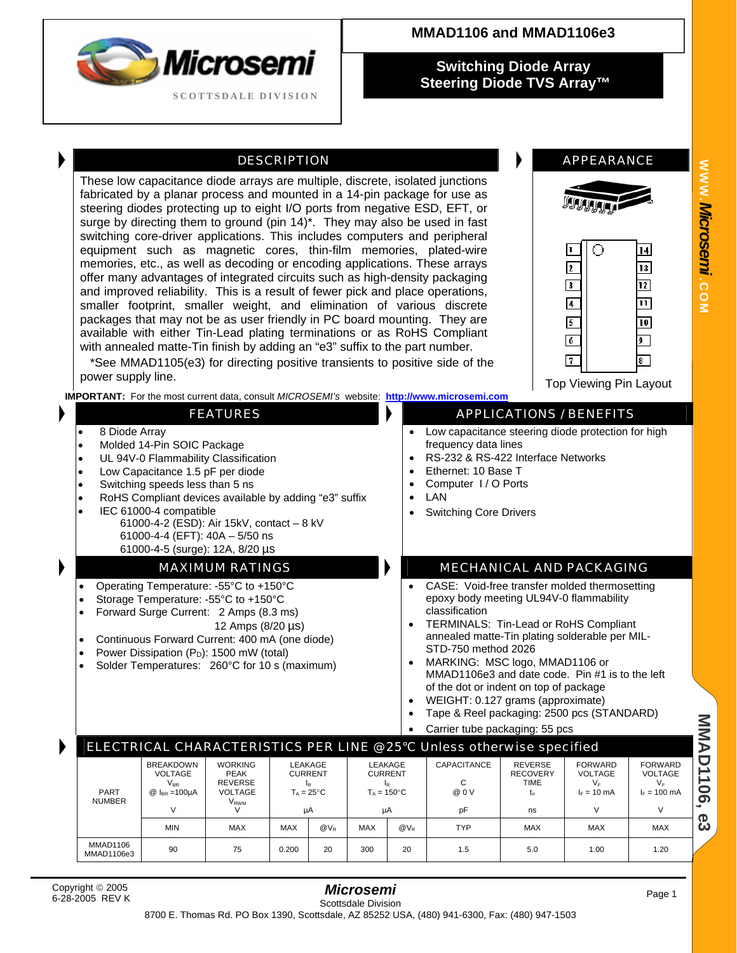| Microsemi                  |
|----------------------------|
| <b>SCOTTSDALE DIVISION</b> |

## **MMAD1106 and MMAD1106e3**

**Switching Diode Array Steering Diode TVS Array™** 

### DESCRIPTION **APPEARANCE**

These low capacitance diode arrays are multiple, discrete, isolated junctions fabricated by a planar process and mounted in a 14-pin package for use as steering diodes protecting up to eight I/O ports from negative ESD, EFT, or surge by directing them to ground (pin 14)\*. They may also be used in fast switching core-driver applications. This includes computers and peripheral equipment such as magnetic cores, thin-film memories, plated-wire memories, etc., as well as decoding or encoding applications. These arrays offer many advantages of integrated circuits such as high-density packaging and improved reliability. This is a result of fewer pick and place operations, smaller footprint, smaller weight, and elimination of various discrete packages that may not be as user friendly in PC board mounting. They are available with either Tin-Lead plating terminations or as RoHS Compliant with annealed matte-Tin finish by adding an "e3" suffix to the part number.

 \*See MMAD1105(e3) for directing positive transients to positive side of the power supply line. The contract of the contract of the contract of the contract of the contract of the contract of the contract of the contract of the contract of the contract of the contract of the contract of the contrac

**IMPORTANT:** For the most current data, consult *MICROSEMI's* website: **[http://www.microsemi.com](http://www.microsemi.com/)**

- 
- Molded 14-Pin SOIC Package **frequency data lines** frequency data lines
- 
- Low Capacitance 1.5 pF per diode Ethernet: 10 Base T
- Switching speeds less than 5 ns
- RoHS Compliant devices available by adding "e3" suffix  $\cdot$  | LAN
- **IEC 61000-4 compatible Compatible Switching Core Drivers** 
	- 61000-4-2 (ESD): Air 15kV, contact 8 kV 61000-4-4 (EFT): 40A – 5/50 ns 61000-4-5 (surge): 12A, 8/20 µs

- Operating Temperature: -55°C to +150°C
- Storage Temperature: -55°C to +150°C
- Forward Surge Current: 2 Amps (8.3 ms) 12 Amps (8/20 µs)
- Continuous Forward Current: 400 mA (one diode)
- 
- Power Dissipation (PD): 1500 mW (total) MARKING: MSC logo, MMAD1106 or Solder Temperatures: 260°C for 10 s (maximum)

∩

l2

3

5 ╔

ஈ

 $|4|$  $\overline{13}$ 

 $\overline{12}$ 

 $\overline{\mathbf{u}}$ 10

 $\overline{9}$ 

8.

## **FEATURES APPLICATIONS / BENEFITS**

- 8 Diode Array Low capacitance steering diode protection for high
- UL 94V-0 Flammability Classification  $\begin{array}{c|c|c|c|c} \text{U} & \text{RS-232 & & RS-422} \text{ Interface Networks} \end{array}$ <br>
Low Capacitance 1.5 pF per diode **by the contract of the Channel Contract** 10 Base T
	-
	-
	-
	-

#### MAXIMUM RATINGS **MECHANICAL AND PACKAGING**

- CASE: Void-free transfer molded thermosetting epoxy body meeting UL94V-0 flammability classification
- TERMINALS: Tin-Lead or RoHS Compliant annealed matte-Tin plating solderable per MIL-STD-750 method 2026
- MMAD1106e3 and date code. Pin #1 is to the left of the dot or indent on top of package
- WEIGHT: 0.127 grams (approximate)
- Tape & Reel packaging: 2500 pcs (STANDARD)
- Carrier tube packaging: 55 pcs

**MMAD1106 MMAD1106, e3** ELECTRICAL CHARACTERISTICS PER LINE @ 25°C Unless otherwise specified REVERSE BREAKDOWN | WORKING | LEAKAGE | LEAKAGE | CAPACITANCE | REVERSE | FORWARD | FORWARD **RECOVERY** VOLTAGE | PEAK | CURRENT | CURRENT | | RECOVERY | VOLTAGE | VOLTAGE  $\mathsf{V}_{\mathsf{BR}}$  | REVERSE | I<sub>R</sub> | I<sub>R</sub> | C | TIME | V<sub>F</sub> | V<sub>F</sub>  $T_{\text{A}} = 25^{\circ}C$ PART  $T_A = 150^{\circ}$ C  $I<sub>F</sub> = 10$  mA  $I_F = 100$  mA @ I<sub>BR</sub> =100µA | VOLTAGE | T<sub>A</sub> = 25°C | T<sub>A</sub> = 150°C | @ 0 V | t<sub>r</sub> | I<sub>F</sub> = 10 mA | I<sub>F</sub> = 100 mA  $t_{n}$ NUMBER V<br>V<br>V V µA µA pF ns V V  $\sigma$ ພ MIN | MAX |MAX |@V<sub>R</sub> |MAX |@V<sub>R</sub> | TYP | MAX | MAX | MAX MMAD1106 90 75 0.200 20 300 20 1.5 5.0 1.00 1.20